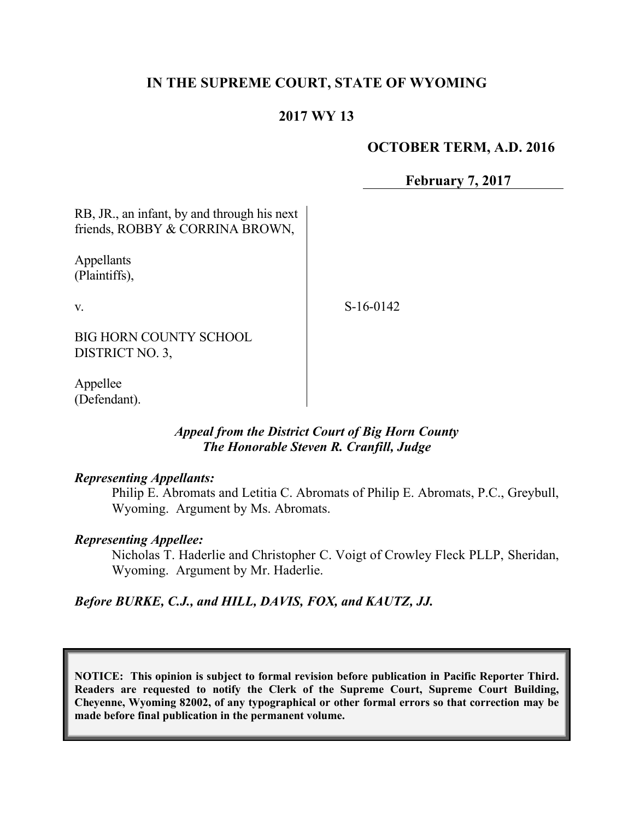## **IN THE SUPREME COURT, STATE OF WYOMING**

### **2017 WY 13**

### **OCTOBER TERM, A.D. 2016**

**February 7, 2017**

RB, JR., an infant, by and through his next friends, ROBBY & CORRINA BROWN,

Appellants (Plaintiffs),

v.

S-16-0142

BIG HORN COUNTY SCHOOL DISTRICT NO. 3,

Appellee (Defendant).

### *Appeal from the District Court of Big Horn County The Honorable Steven R. Cranfill, Judge*

### *Representing Appellants:*

Philip E. Abromats and Letitia C. Abromats of Philip E. Abromats, P.C., Greybull, Wyoming. Argument by Ms. Abromats.

### *Representing Appellee:*

Nicholas T. Haderlie and Christopher C. Voigt of Crowley Fleck PLLP, Sheridan, Wyoming. Argument by Mr. Haderlie.

### *Before BURKE, C.J., and HILL, DAVIS, FOX, and KAUTZ, JJ.*

**NOTICE: This opinion is subject to formal revision before publication in Pacific Reporter Third. Readers are requested to notify the Clerk of the Supreme Court, Supreme Court Building, Cheyenne, Wyoming 82002, of any typographical or other formal errors so that correction may be made before final publication in the permanent volume.**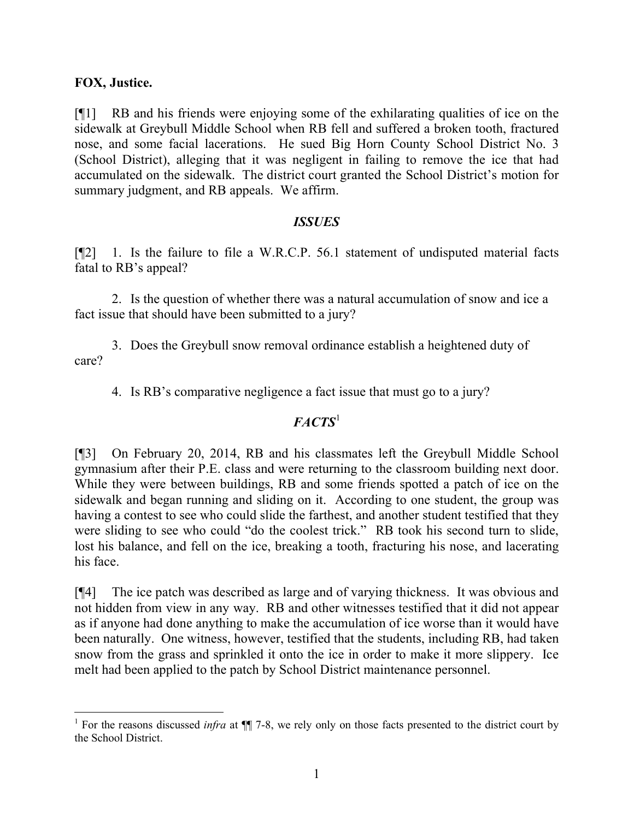### **FOX, Justice.**

[¶1] RB and his friends were enjoying some of the exhilarating qualities of ice on the sidewalk at Greybull Middle School when RB fell and suffered a broken tooth, fractured nose, and some facial lacerations. He sued Big Horn County School District No. 3 (School District), alleging that it was negligent in failing to remove the ice that had accumulated on the sidewalk. The district court granted the School District's motion for summary judgment, and RB appeals. We affirm.

### *ISSUES*

[¶2] 1. Is the failure to file a W.R.C.P. 56.1 statement of undisputed material facts fatal to RB's appeal?

2. Is the question of whether there was a natural accumulation of snow and ice a fact issue that should have been submitted to a jury?

3. Does the Greybull snow removal ordinance establish a heightened duty of care?

4. Is RB's comparative negligence a fact issue that must go to a jury?

# *FACTS*<sup>1</sup>

[¶3] On February 20, 2014, RB and his classmates left the Greybull Middle School gymnasium after their P.E. class and were returning to the classroom building next door. While they were between buildings, RB and some friends spotted a patch of ice on the sidewalk and began running and sliding on it. According to one student, the group was having a contest to see who could slide the farthest, and another student testified that they were sliding to see who could "do the coolest trick." RB took his second turn to slide, lost his balance, and fell on the ice, breaking a tooth, fracturing his nose, and lacerating his face.

[¶4] The ice patch was described as large and of varying thickness. It was obvious and not hidden from view in any way. RB and other witnesses testified that it did not appear as if anyone had done anything to make the accumulation of ice worse than it would have been naturally. One witness, however, testified that the students, including RB, had taken snow from the grass and sprinkled it onto the ice in order to make it more slippery. Ice melt had been applied to the patch by School District maintenance personnel.

<sup>&</sup>lt;sup>1</sup> For the reasons discussed *infra* at  $\P$  7-8, we rely only on those facts presented to the district court by the School District.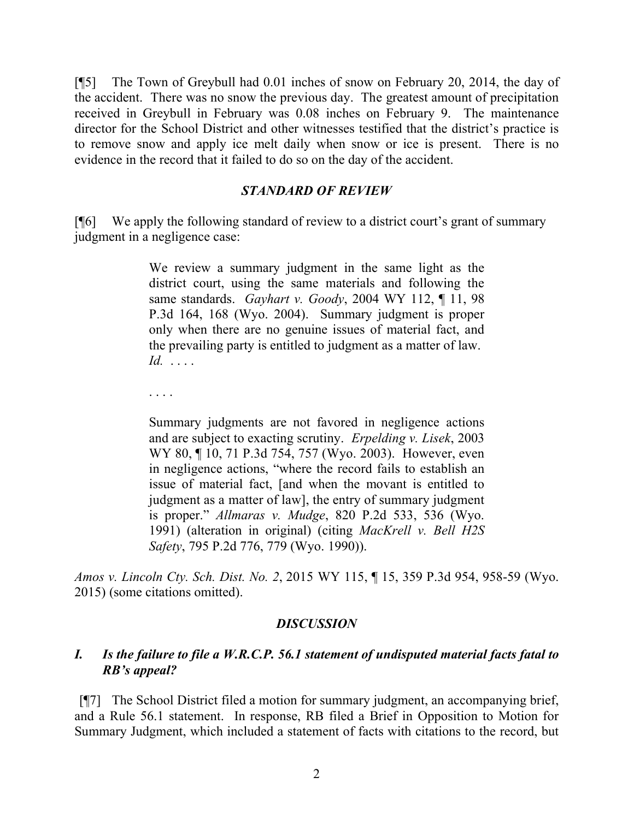[¶5] The Town of Greybull had 0.01 inches of snow on February 20, 2014, the day of the accident. There was no snow the previous day. The greatest amount of precipitation received in Greybull in February was 0.08 inches on February 9. The maintenance director for the School District and other witnesses testified that the district's practice is to remove snow and apply ice melt daily when snow or ice is present. There is no evidence in the record that it failed to do so on the day of the accident.

#### *STANDARD OF REVIEW*

[¶6] We apply the following standard of review to a district court's grant of summary judgment in a negligence case:

> We review a summary judgment in the same light as the district court, using the same materials and following the same standards. *Gayhart v. Goody*, 2004 WY 112, ¶ 11, 98 P.3d 164, 168 (Wyo. 2004). Summary judgment is proper only when there are no genuine issues of material fact, and the prevailing party is entitled to judgment as a matter of law. *Id.* . . . .

. . . .

Summary judgments are not favored in negligence actions and are subject to exacting scrutiny. *Erpelding v. Lisek*, 2003 WY 80, ¶ 10, 71 P.3d 754, 757 (Wyo. 2003). However, even in negligence actions, "where the record fails to establish an issue of material fact, [and when the movant is entitled to judgment as a matter of law], the entry of summary judgment is proper." *Allmaras v. Mudge*, 820 P.2d 533, 536 (Wyo. 1991) (alteration in original) (citing *MacKrell v. Bell H2S Safety*, 795 P.2d 776, 779 (Wyo. 1990)).

*Amos v. Lincoln Cty. Sch. Dist. No. 2*, 2015 WY 115, ¶ 15, 359 P.3d 954, 958-59 (Wyo. 2015) (some citations omitted).

#### *DISCUSSION*

### *I. Is the failure to file a W.R.C.P. 56.1 statement of undisputed material facts fatal to RB's appeal?*

[¶7] The School District filed a motion for summary judgment, an accompanying brief, and a Rule 56.1 statement. In response, RB filed a Brief in Opposition to Motion for Summary Judgment, which included a statement of facts with citations to the record, but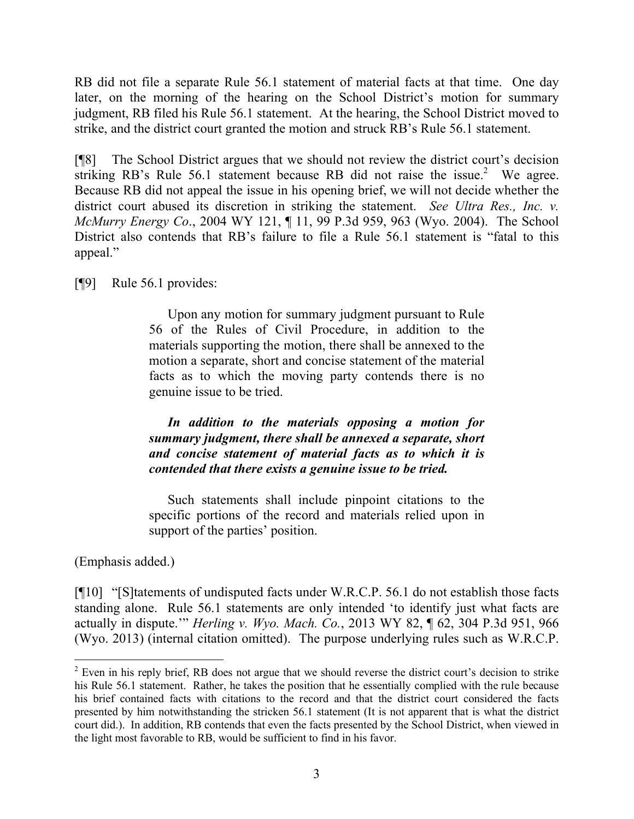RB did not file a separate Rule 56.1 statement of material facts at that time. One day later, on the morning of the hearing on the School District's motion for summary judgment, RB filed his Rule 56.1 statement. At the hearing, the School District moved to strike, and the district court granted the motion and struck RB's Rule 56.1 statement.

[¶8] The School District argues that we should not review the district court's decision striking RB's Rule 56.1 statement because RB did not raise the issue.<sup>2</sup> We agree. Because RB did not appeal the issue in his opening brief, we will not decide whether the district court abused its discretion in striking the statement. *See Ultra Res., Inc. v. McMurry Energy Co*., 2004 WY 121, ¶ 11, 99 P.3d 959, 963 (Wyo. 2004). The School District also contends that RB's failure to file a Rule 56.1 statement is "fatal to this appeal."

[¶9] Rule 56.1 provides:

Upon any motion for summary judgment pursuant to Rule 56 of the Rules of Civil Procedure, in addition to the materials supporting the motion, there shall be annexed to the motion a separate, short and concise statement of the material facts as to which the moving party contends there is no genuine issue to be tried.

*In addition to the materials opposing a motion for summary judgment, there shall be annexed a separate, short and concise statement of material facts as to which it is contended that there exists a genuine issue to be tried.*

Such statements shall include pinpoint citations to the specific portions of the record and materials relied upon in support of the parties' position.

(Emphasis added.)

[¶10] "[S]tatements of undisputed facts under W.R.C.P. 56.1 do not establish those facts standing alone. Rule 56.1 statements are only intended 'to identify just what facts are actually in dispute.'" *Herling v. Wyo. Mach. Co.*, 2013 WY 82, ¶ 62, 304 P.3d 951, 966 (Wyo. 2013) (internal citation omitted). The purpose underlying rules such as W.R.C.P.

 <sup>2</sup> Even in his reply brief, RB does not argue that we should reverse the district court's decision to strike his Rule 56.1 statement. Rather, he takes the position that he essentially complied with the rule because his brief contained facts with citations to the record and that the district court considered the facts presented by him notwithstanding the stricken 56.1 statement (It is not apparent that is what the district court did.). In addition, RB contends that even the facts presented by the School District, when viewed in the light most favorable to RB, would be sufficient to find in his favor.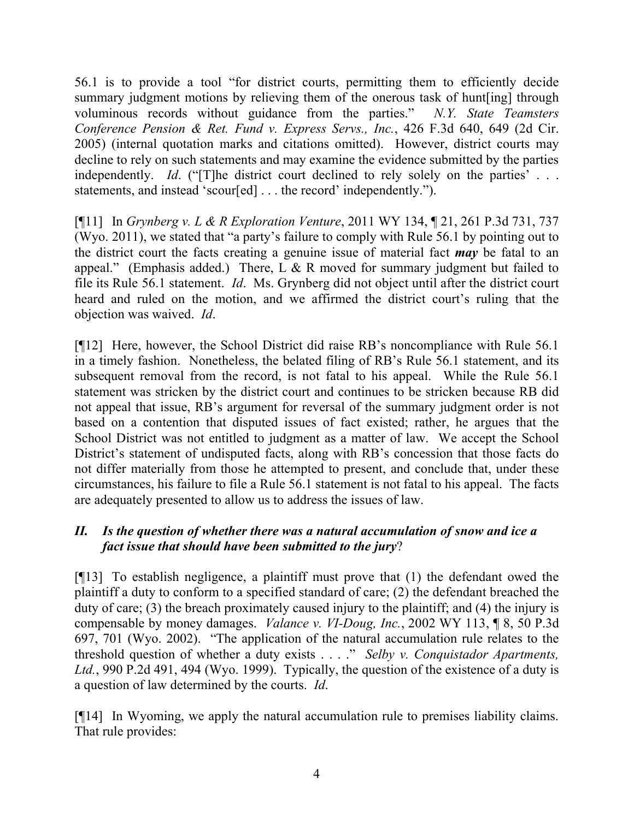56.1 is to provide a tool "for district courts, permitting them to efficiently decide summary judgment motions by relieving them of the onerous task of hunt [ing] through voluminous records without guidance from the parties." *N.Y. State Teamsters Conference Pension & Ret. Fund v. Express Servs., Inc.*, 426 F.3d 640, 649 (2d Cir. 2005) (internal quotation marks and citations omitted). However, district courts may decline to rely on such statements and may examine the evidence submitted by the parties independently. *Id.* ("[T]he district court declined to rely solely on the parties' ... statements, and instead 'scour[ed] . . . the record' independently.").

[¶11] In *Grynberg v. L & R Exploration Venture*, 2011 WY 134, ¶ 21, 261 P.3d 731, 737 (Wyo. 2011), we stated that "a party's failure to comply with Rule 56.1 by pointing out to the district court the facts creating a genuine issue of material fact *may* be fatal to an appeal." (Emphasis added.) There, L & R moved for summary judgment but failed to file its Rule 56.1 statement. *Id*. Ms. Grynberg did not object until after the district court heard and ruled on the motion, and we affirmed the district court's ruling that the objection was waived. *Id*.

[¶12] Here, however, the School District did raise RB's noncompliance with Rule 56.1 in a timely fashion. Nonetheless, the belated filing of RB's Rule 56.1 statement, and its subsequent removal from the record, is not fatal to his appeal. While the Rule 56.1 statement was stricken by the district court and continues to be stricken because RB did not appeal that issue, RB's argument for reversal of the summary judgment order is not based on a contention that disputed issues of fact existed; rather, he argues that the School District was not entitled to judgment as a matter of law. We accept the School District's statement of undisputed facts, along with RB's concession that those facts do not differ materially from those he attempted to present, and conclude that, under these circumstances, his failure to file a Rule 56.1 statement is not fatal to his appeal. The facts are adequately presented to allow us to address the issues of law.

# *II. Is the question of whether there was a natural accumulation of snow and ice a fact issue that should have been submitted to the jury*?

[¶13] To establish negligence, a plaintiff must prove that (1) the defendant owed the plaintiff a duty to conform to a specified standard of care; (2) the defendant breached the duty of care; (3) the breach proximately caused injury to the plaintiff; and (4) the injury is compensable by money damages. *Valance v. VI-Doug, Inc.*, 2002 WY 113, ¶ 8, 50 P.3d 697, 701 (Wyo. 2002). "The application of the natural accumulation rule relates to the threshold question of whether a duty exists . . . ." *Selby v. Conquistador Apartments, Ltd.*, 990 P.2d 491, 494 (Wyo. 1999). Typically, the question of the existence of a duty is a question of law determined by the courts. *Id*.

[¶14] In Wyoming, we apply the natural accumulation rule to premises liability claims. That rule provides: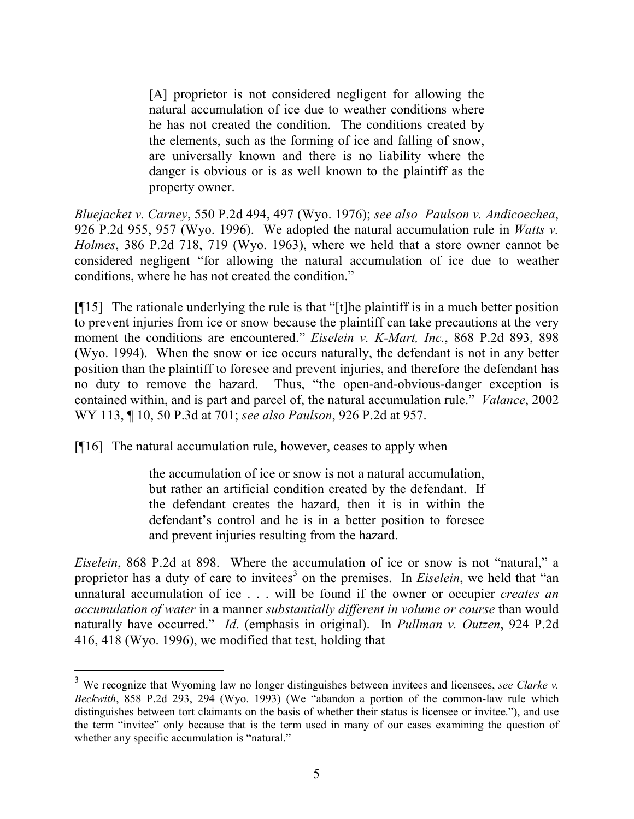[A] proprietor is not considered negligent for allowing the natural accumulation of ice due to weather conditions where he has not created the condition. The conditions created by the elements, such as the forming of ice and falling of snow, are universally known and there is no liability where the danger is obvious or is as well known to the plaintiff as the property owner.

*Bluejacket v. Carney*, 550 P.2d 494, 497 (Wyo. 1976); *see also Paulson v. Andicoechea*, 926 P.2d 955, 957 (Wyo. 1996). We adopted the natural accumulation rule in *Watts v. Holmes*, 386 P.2d 718, 719 (Wyo. 1963), where we held that a store owner cannot be considered negligent "for allowing the natural accumulation of ice due to weather conditions, where he has not created the condition."

[¶15] The rationale underlying the rule is that "[t]he plaintiff is in a much better position to prevent injuries from ice or snow because the plaintiff can take precautions at the very moment the conditions are encountered." *Eiselein v. K-Mart, Inc.*, 868 P.2d 893, 898 (Wyo. 1994). When the snow or ice occurs naturally, the defendant is not in any better position than the plaintiff to foresee and prevent injuries, and therefore the defendant has no duty to remove the hazard. Thus, "the open-and-obvious-danger exception is contained within, and is part and parcel of, the natural accumulation rule." *Valance*, 2002 WY 113, ¶ 10, 50 P.3d at 701; *see also Paulson*, 926 P.2d at 957.

[¶16] The natural accumulation rule, however, ceases to apply when

the accumulation of ice or snow is not a natural accumulation, but rather an artificial condition created by the defendant. If the defendant creates the hazard, then it is in within the defendant's control and he is in a better position to foresee and prevent injuries resulting from the hazard.

*Eiselein*, 868 P.2d at 898. Where the accumulation of ice or snow is not "natural," a proprietor has a duty of care to invitees<sup>3</sup> on the premises. In *Eiselein*, we held that "an unnatural accumulation of ice . . . will be found if the owner or occupier *creates an accumulation of water* in a manner *substantially different in volume or course* than would naturally have occurred." *Id*. (emphasis in original). In *Pullman v. Outzen*, 924 P.2d 416, 418 (Wyo. 1996), we modified that test, holding that

<sup>3</sup> We recognize that Wyoming law no longer distinguishes between invitees and licensees, *see Clarke v. Beckwith*, 858 P.2d 293, 294 (Wyo. 1993) (We "abandon a portion of the common-law rule which distinguishes between tort claimants on the basis of whether their status is licensee or invitee."), and use the term "invitee" only because that is the term used in many of our cases examining the question of whether any specific accumulation is "natural."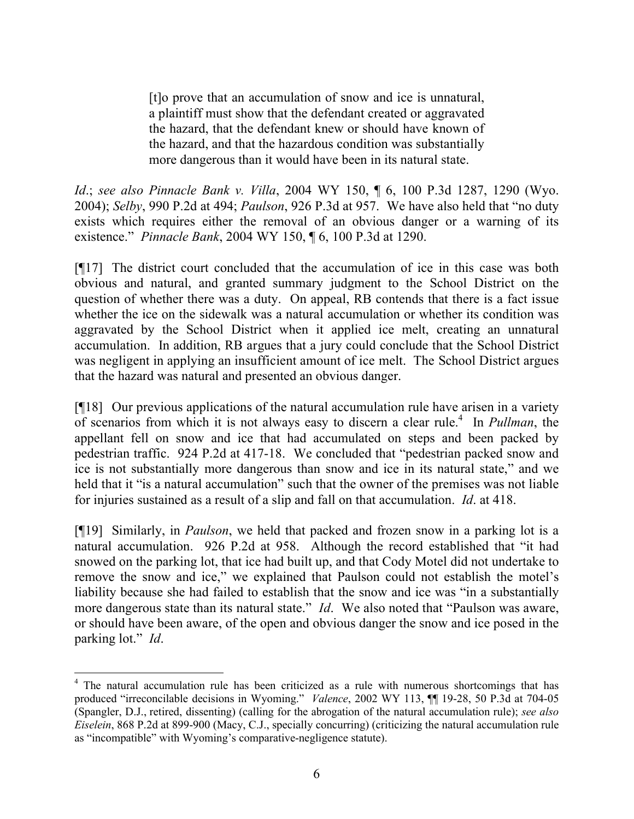[t]o prove that an accumulation of snow and ice is unnatural, a plaintiff must show that the defendant created or aggravated the hazard, that the defendant knew or should have known of the hazard, and that the hazardous condition was substantially more dangerous than it would have been in its natural state.

*Id*.; *see also Pinnacle Bank v. Villa*, 2004 WY 150, ¶ 6, 100 P.3d 1287, 1290 (Wyo. 2004); *Selby*, 990 P.2d at 494; *Paulson*, 926 P.3d at 957. We have also held that "no duty exists which requires either the removal of an obvious danger or a warning of its existence." *Pinnacle Bank*, 2004 WY 150, ¶ 6, 100 P.3d at 1290.

[¶17] The district court concluded that the accumulation of ice in this case was both obvious and natural, and granted summary judgment to the School District on the question of whether there was a duty. On appeal, RB contends that there is a fact issue whether the ice on the sidewalk was a natural accumulation or whether its condition was aggravated by the School District when it applied ice melt, creating an unnatural accumulation. In addition, RB argues that a jury could conclude that the School District was negligent in applying an insufficient amount of ice melt. The School District argues that the hazard was natural and presented an obvious danger.

[¶18] Our previous applications of the natural accumulation rule have arisen in a variety of scenarios from which it is not always easy to discern a clear rule.<sup>4</sup> In *Pullman*, the appellant fell on snow and ice that had accumulated on steps and been packed by pedestrian traffic. 924 P.2d at 417-18. We concluded that "pedestrian packed snow and ice is not substantially more dangerous than snow and ice in its natural state," and we held that it "is a natural accumulation" such that the owner of the premises was not liable for injuries sustained as a result of a slip and fall on that accumulation. *Id*. at 418.

[¶19] Similarly, in *Paulson*, we held that packed and frozen snow in a parking lot is a natural accumulation. 926 P.2d at 958. Although the record established that "it had snowed on the parking lot, that ice had built up, and that Cody Motel did not undertake to remove the snow and ice," we explained that Paulson could not establish the motel's liability because she had failed to establish that the snow and ice was "in a substantially more dangerous state than its natural state." *Id*. We also noted that "Paulson was aware, or should have been aware, of the open and obvious danger the snow and ice posed in the parking lot." *Id*.

 <sup>4</sup> The natural accumulation rule has been criticized as a rule with numerous shortcomings that has produced "irreconcilable decisions in Wyoming." *Valence*, 2002 WY 113, ¶¶ 19-28, 50 P.3d at 704-05 (Spangler, D.J., retired, dissenting) (calling for the abrogation of the natural accumulation rule); *see also Eiselein*, 868 P.2d at 899-900 (Macy, C.J., specially concurring) (criticizing the natural accumulation rule as "incompatible" with Wyoming's comparative-negligence statute).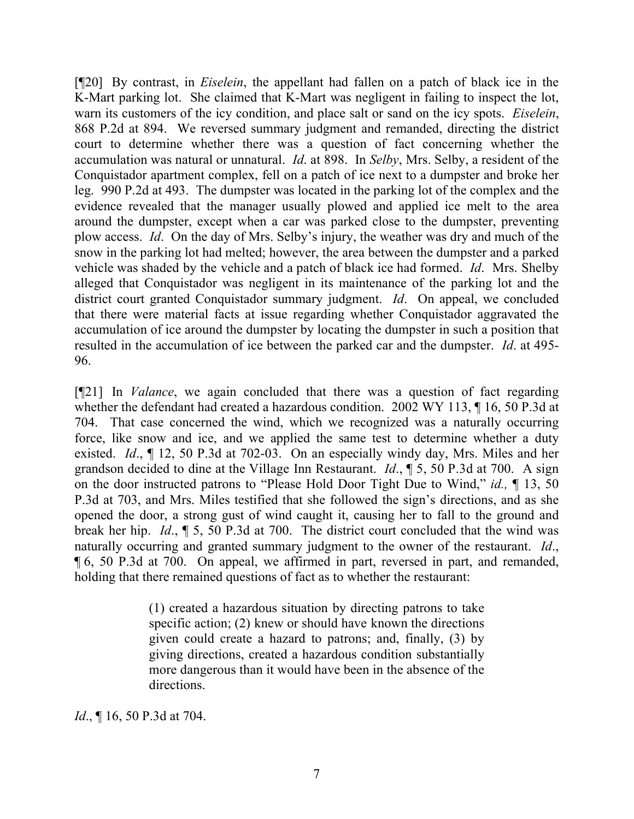[¶20] By contrast, in *Eiselein*, the appellant had fallen on a patch of black ice in the K-Mart parking lot. She claimed that K-Mart was negligent in failing to inspect the lot, warn its customers of the icy condition, and place salt or sand on the icy spots. *Eiselein*, 868 P.2d at 894. We reversed summary judgment and remanded, directing the district court to determine whether there was a question of fact concerning whether the accumulation was natural or unnatural. *Id*. at 898. In *Selby*, Mrs. Selby, a resident of the Conquistador apartment complex, fell on a patch of ice next to a dumpster and broke her leg. 990 P.2d at 493. The dumpster was located in the parking lot of the complex and the evidence revealed that the manager usually plowed and applied ice melt to the area around the dumpster, except when a car was parked close to the dumpster, preventing plow access. *Id*. On the day of Mrs. Selby's injury, the weather was dry and much of the snow in the parking lot had melted; however, the area between the dumpster and a parked vehicle was shaded by the vehicle and a patch of black ice had formed. *Id*. Mrs. Shelby alleged that Conquistador was negligent in its maintenance of the parking lot and the district court granted Conquistador summary judgment. *Id*. On appeal, we concluded that there were material facts at issue regarding whether Conquistador aggravated the accumulation of ice around the dumpster by locating the dumpster in such a position that resulted in the accumulation of ice between the parked car and the dumpster. *Id*. at 495- 96.

[¶21] In *Valance*, we again concluded that there was a question of fact regarding whether the defendant had created a hazardous condition. 2002 WY 113, ¶ 16, 50 P.3d at 704. That case concerned the wind, which we recognized was a naturally occurring force, like snow and ice, and we applied the same test to determine whether a duty existed. *Id*., ¶ 12, 50 P.3d at 702-03. On an especially windy day, Mrs. Miles and her grandson decided to dine at the Village Inn Restaurant. *Id*., ¶ 5, 50 P.3d at 700. A sign on the door instructed patrons to "Please Hold Door Tight Due to Wind," *id.,* ¶ 13, 50 P.3d at 703, and Mrs. Miles testified that she followed the sign's directions, and as she opened the door, a strong gust of wind caught it, causing her to fall to the ground and break her hip. *Id*., ¶ 5, 50 P.3d at 700. The district court concluded that the wind was naturally occurring and granted summary judgment to the owner of the restaurant. *Id*., ¶ 6, 50 P.3d at 700. On appeal, we affirmed in part, reversed in part, and remanded, holding that there remained questions of fact as to whether the restaurant:

> (1) created a hazardous situation by directing patrons to take specific action; (2) knew or should have known the directions given could create a hazard to patrons; and, finally, (3) by giving directions, created a hazardous condition substantially more dangerous than it would have been in the absence of the directions.

*Id.*, **[16, 50 P.3d at 704.**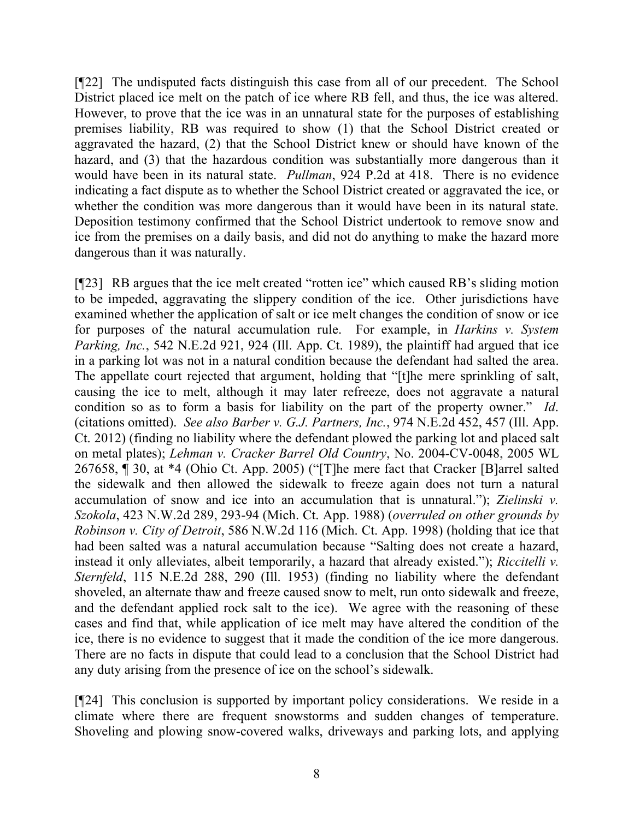[¶22] The undisputed facts distinguish this case from all of our precedent. The School District placed ice melt on the patch of ice where RB fell, and thus, the ice was altered. However, to prove that the ice was in an unnatural state for the purposes of establishing premises liability, RB was required to show (1) that the School District created or aggravated the hazard, (2) that the School District knew or should have known of the hazard, and (3) that the hazardous condition was substantially more dangerous than it would have been in its natural state. *Pullman*, 924 P.2d at 418. There is no evidence indicating a fact dispute as to whether the School District created or aggravated the ice, or whether the condition was more dangerous than it would have been in its natural state. Deposition testimony confirmed that the School District undertook to remove snow and ice from the premises on a daily basis, and did not do anything to make the hazard more dangerous than it was naturally.

[¶23] RB argues that the ice melt created "rotten ice" which caused RB's sliding motion to be impeded, aggravating the slippery condition of the ice. Other jurisdictions have examined whether the application of salt or ice melt changes the condition of snow or ice for purposes of the natural accumulation rule. For example, in *Harkins v. System Parking, Inc.*, 542 N.E.2d 921, 924 (Ill. App. Ct. 1989), the plaintiff had argued that ice in a parking lot was not in a natural condition because the defendant had salted the area. The appellate court rejected that argument, holding that "[t]he mere sprinkling of salt, causing the ice to melt, although it may later refreeze, does not aggravate a natural condition so as to form a basis for liability on the part of the property owner." *Id*. (citations omitted). *See also Barber v. G.J. Partners, Inc.*, 974 N.E.2d 452, 457 (Ill. App. Ct. 2012) (finding no liability where the defendant plowed the parking lot and placed salt on metal plates); *Lehman v. Cracker Barrel Old Country*, No. 2004-CV-0048, 2005 WL 267658, ¶ 30, at \*4 (Ohio Ct. App. 2005) ("[T]he mere fact that Cracker [B]arrel salted the sidewalk and then allowed the sidewalk to freeze again does not turn a natural accumulation of snow and ice into an accumulation that is unnatural."); *Zielinski v. Szokola*, 423 N.W.2d 289, 293-94 (Mich. Ct. App. 1988) (*overruled on other grounds by Robinson v. City of Detroit*, 586 N.W.2d 116 (Mich. Ct. App. 1998) (holding that ice that had been salted was a natural accumulation because "Salting does not create a hazard, instead it only alleviates, albeit temporarily, a hazard that already existed."); *Riccitelli v. Sternfeld*, 115 N.E.2d 288, 290 (Ill. 1953) (finding no liability where the defendant shoveled, an alternate thaw and freeze caused snow to melt, run onto sidewalk and freeze, and the defendant applied rock salt to the ice). We agree with the reasoning of these cases and find that, while application of ice melt may have altered the condition of the ice, there is no evidence to suggest that it made the condition of the ice more dangerous. There are no facts in dispute that could lead to a conclusion that the School District had any duty arising from the presence of ice on the school's sidewalk.

[¶24] This conclusion is supported by important policy considerations. We reside in a climate where there are frequent snowstorms and sudden changes of temperature. Shoveling and plowing snow-covered walks, driveways and parking lots, and applying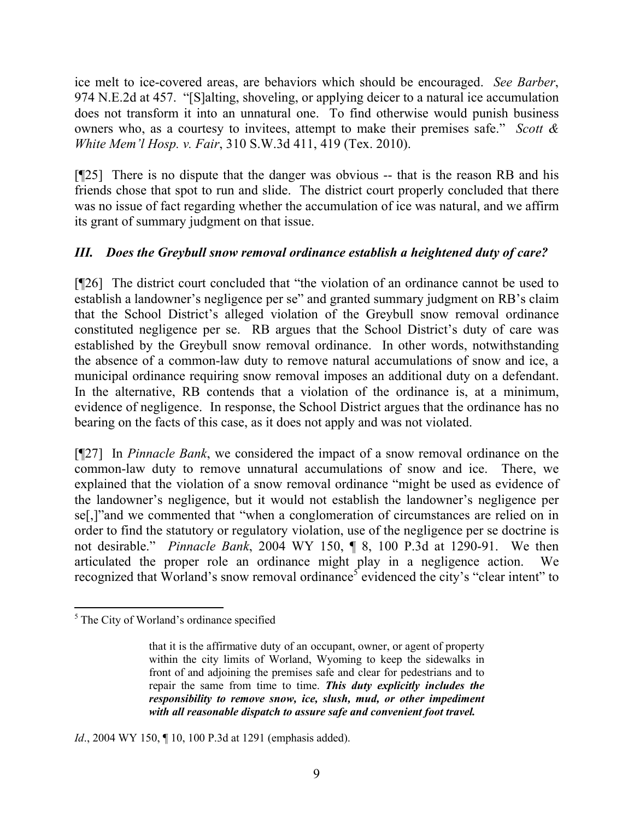ice melt to ice-covered areas, are behaviors which should be encouraged. *See Barber*, 974 N.E.2d at 457. "[S]alting, shoveling, or applying deicer to a natural ice accumulation does not transform it into an unnatural one. To find otherwise would punish business owners who, as a courtesy to invitees, attempt to make their premises safe." *Scott & White Mem'l Hosp. v. Fair*, 310 S.W.3d 411, 419 (Tex. 2010).

[¶25] There is no dispute that the danger was obvious -- that is the reason RB and his friends chose that spot to run and slide. The district court properly concluded that there was no issue of fact regarding whether the accumulation of ice was natural, and we affirm its grant of summary judgment on that issue.

# *III. Does the Greybull snow removal ordinance establish a heightened duty of care?*

[¶26] The district court concluded that "the violation of an ordinance cannot be used to establish a landowner's negligence per se" and granted summary judgment on RB's claim that the School District's alleged violation of the Greybull snow removal ordinance constituted negligence per se. RB argues that the School District's duty of care was established by the Greybull snow removal ordinance. In other words, notwithstanding the absence of a common-law duty to remove natural accumulations of snow and ice, a municipal ordinance requiring snow removal imposes an additional duty on a defendant. In the alternative, RB contends that a violation of the ordinance is, at a minimum, evidence of negligence. In response, the School District argues that the ordinance has no bearing on the facts of this case, as it does not apply and was not violated.

[¶27] In *Pinnacle Bank*, we considered the impact of a snow removal ordinance on the common-law duty to remove unnatural accumulations of snow and ice. There, we explained that the violation of a snow removal ordinance "might be used as evidence of the landowner's negligence, but it would not establish the landowner's negligence per se[,]"and we commented that "when a conglomeration of circumstances are relied on in order to find the statutory or regulatory violation, use of the negligence per se doctrine is not desirable." *Pinnacle Bank*, 2004 WY 150, ¶ 8, 100 P.3d at 1290-91. We then articulated the proper role an ordinance might play in a negligence action. We recognized that Worland's snow removal ordinance<sup>5</sup> evidenced the city's "clear intent" to

*Id.*, 2004 WY 150, ¶ 10, 100 P.3d at 1291 (emphasis added).

  $<sup>5</sup>$  The City of Worland's ordinance specified</sup>

that it is the affirmative duty of an occupant, owner, or agent of property within the city limits of Worland, Wyoming to keep the sidewalks in front of and adjoining the premises safe and clear for pedestrians and to repair the same from time to time. *This duty explicitly includes the responsibility to remove snow, ice, slush, mud, or other impediment with all reasonable dispatch to assure safe and convenient foot travel.*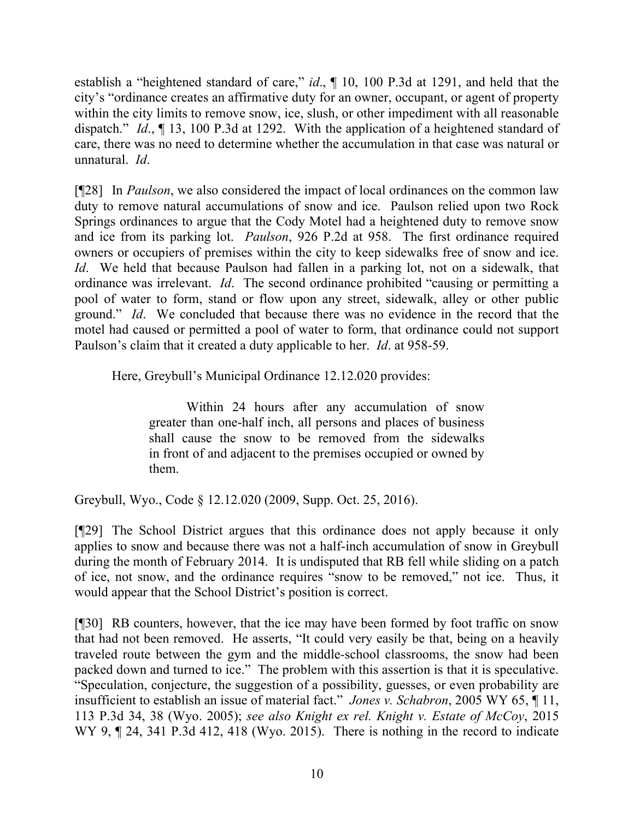establish a "heightened standard of care," *id*., ¶ 10, 100 P.3d at 1291, and held that the city's "ordinance creates an affirmative duty for an owner, occupant, or agent of property within the city limits to remove snow, ice, slush, or other impediment with all reasonable dispatch." *Id*., ¶ 13, 100 P.3d at 1292. With the application of a heightened standard of care, there was no need to determine whether the accumulation in that case was natural or unnatural. *Id*.

[¶28] In *Paulson*, we also considered the impact of local ordinances on the common law duty to remove natural accumulations of snow and ice. Paulson relied upon two Rock Springs ordinances to argue that the Cody Motel had a heightened duty to remove snow and ice from its parking lot. *Paulson*, 926 P.2d at 958. The first ordinance required owners or occupiers of premises within the city to keep sidewalks free of snow and ice. *Id*. We held that because Paulson had fallen in a parking lot, not on a sidewalk, that ordinance was irrelevant. *Id*. The second ordinance prohibited "causing or permitting a pool of water to form, stand or flow upon any street, sidewalk, alley or other public ground." *Id*. We concluded that because there was no evidence in the record that the motel had caused or permitted a pool of water to form, that ordinance could not support Paulson's claim that it created a duty applicable to her. *Id*. at 958-59.

Here, Greybull's Municipal Ordinance 12.12.020 provides:

Within 24 hours after any accumulation of snow greater than one-half inch, all persons and places of business shall cause the snow to be removed from the sidewalks in front of and adjacent to the premises occupied or owned by them.

Greybull, Wyo., Code § 12.12.020 (2009, Supp. Oct. 25, 2016).

[¶29] The School District argues that this ordinance does not apply because it only applies to snow and because there was not a half-inch accumulation of snow in Greybull during the month of February 2014. It is undisputed that RB fell while sliding on a patch of ice, not snow, and the ordinance requires "snow to be removed," not ice. Thus, it would appear that the School District's position is correct.

[¶30] RB counters, however, that the ice may have been formed by foot traffic on snow that had not been removed. He asserts, "It could very easily be that, being on a heavily traveled route between the gym and the middle-school classrooms, the snow had been packed down and turned to ice." The problem with this assertion is that it is speculative. "Speculation, conjecture, the suggestion of a possibility, guesses, or even probability are insufficient to establish an issue of material fact." *Jones v. Schabron*, 2005 WY 65, ¶ 11, 113 P.3d 34, 38 (Wyo. 2005); *see also Knight ex rel. Knight v. Estate of McCoy*, 2015 WY 9,  $\P$  24, 341 P.3d 412, 418 (Wyo. 2015). There is nothing in the record to indicate